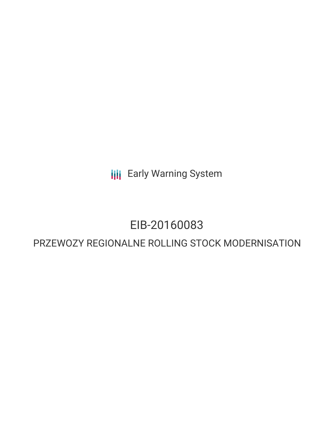**III** Early Warning System

# EIB-20160083

## PRZEWOZY REGIONALNE ROLLING STOCK MODERNISATION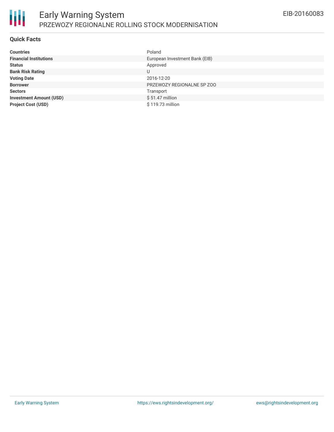

#### **Quick Facts**

| Countries                      | Poland                         |
|--------------------------------|--------------------------------|
| <b>Financial Institutions</b>  | European Investment Bank (EIB) |
| Status                         | Approved                       |
| <b>Bank Risk Rating</b>        |                                |
| <b>Voting Date</b>             | 2016-12-20                     |
| <b>Borrower</b>                | PRZEWOZY REGIONALNE SP ZOO     |
| Sectors                        | Transport                      |
| <b>Investment Amount (USD)</b> | $$51.47$ million               |
| <b>Project Cost (USD)</b>      | \$119.73 million               |
|                                |                                |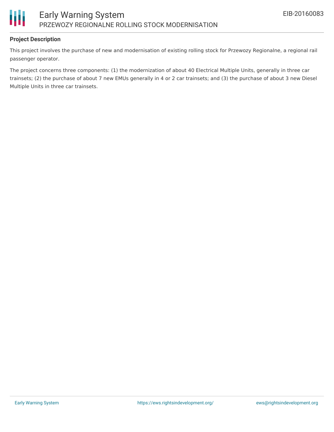

### **Project Description**

This project involves the purchase of new and modernisation of existing rolling stock for Przewozy Regionalne, a regional rail passenger operator.

The project concerns three components: (1) the modernization of about 40 Electrical Multiple Units, generally in three car trainsets; (2) the purchase of about 7 new EMUs generally in 4 or 2 car trainsets; and (3) the purchase of about 3 new Diesel Multiple Units in three car trainsets.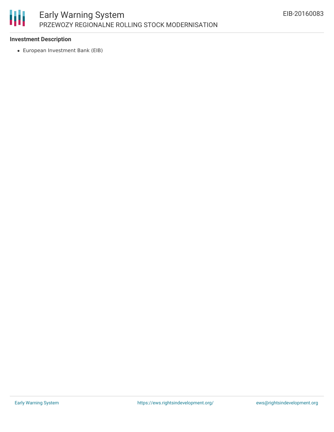

### **Investment Description**

European Investment Bank (EIB)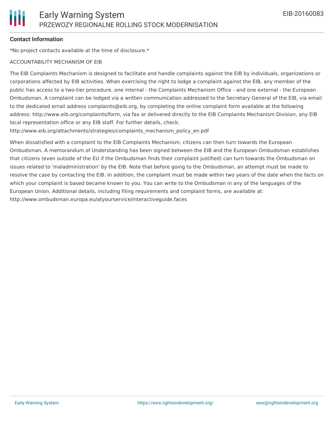### **Contact Information**

\*No project contacts available at the time of disclosure.\*

#### ACCOUNTABILITY MECHANISM OF EIB

The EIB Complaints Mechanism is designed to facilitate and handle complaints against the EIB by individuals, organizations or corporations affected by EIB activities. When exercising the right to lodge a complaint against the EIB, any member of the public has access to a two-tier procedure, one internal - the Complaints Mechanism Office - and one external - the European Ombudsman. A complaint can be lodged via a written communication addressed to the Secretary General of the EIB, via email to the dedicated email address complaints@eib.org, by completing the online complaint form available at the following address: http://www.eib.org/complaints/form, via fax or delivered directly to the EIB Complaints Mechanism Division, any EIB local representation office or any EIB staff. For further details, check:

http://www.eib.org/attachments/strategies/complaints\_mechanism\_policy\_en.pdf

When dissatisfied with a complaint to the EIB Complaints Mechanism, citizens can then turn towards the European Ombudsman. A memorandum of Understanding has been signed between the EIB and the European Ombudsman establishes that citizens (even outside of the EU if the Ombudsman finds their complaint justified) can turn towards the Ombudsman on issues related to 'maladministration' by the EIB. Note that before going to the Ombudsman, an attempt must be made to resolve the case by contacting the EIB. In addition, the complaint must be made within two years of the date when the facts on which your complaint is based became known to you. You can write to the Ombudsman in any of the languages of the European Union. Additional details, including filing requirements and complaint forms, are available at: http://www.ombudsman.europa.eu/atyourservice/interactiveguide.faces